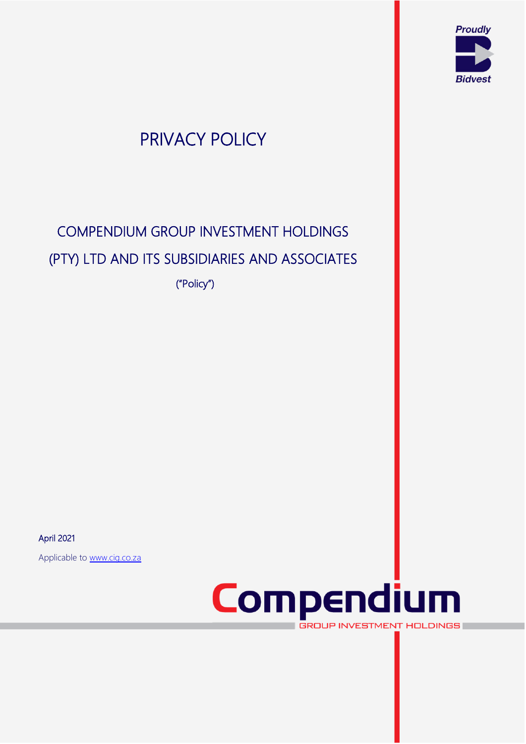

## PRIVACY POLICY

# COMPENDIUM GROUP INVESTMENT HOLDINGS (PTY) LTD AND ITS SUBSIDIARIES AND ASSOCIATES

("Policy")

April 2021

Applicable to [www.cig.co.za](http://www.cig.co.za/)



**GROUP INVESTMENT HOLDINGS** 

V2 <sup>1</sup>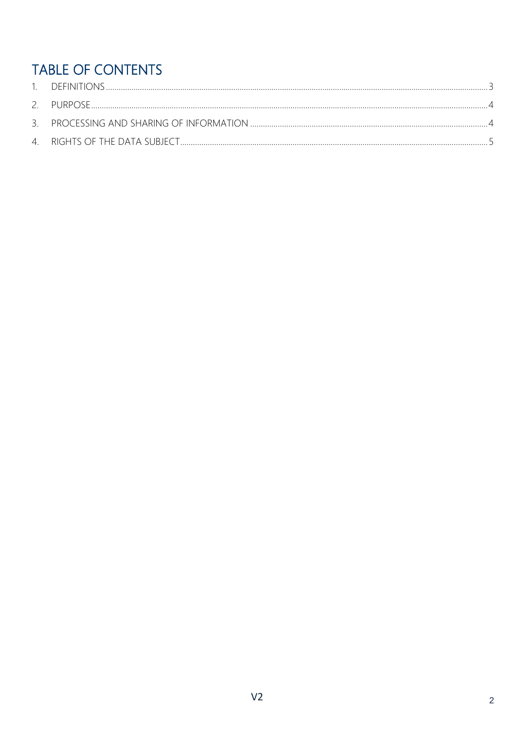### TABLE OF CONTENTS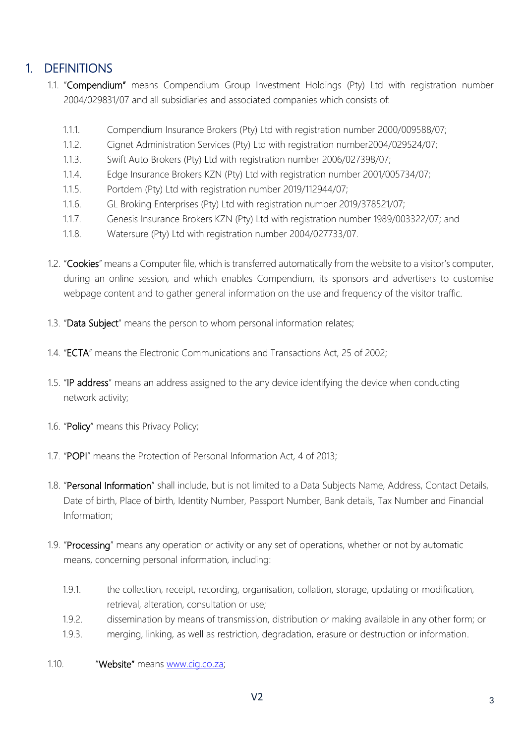#### <span id="page-2-0"></span>1. DEFINITIONS

- 1.1. "Compendium" means Compendium Group Investment Holdings (Pty) Ltd with registration number 2004/029831/07 and all subsidiaries and associated companies which consists of:
	- 1.1.1. Compendium Insurance Brokers (Pty) Ltd with registration number 2000/009588/07;
	- 1.1.2. Cignet Administration Services (Pty) Ltd with registration number2004/029524/07;
	- 1.1.3. Swift Auto Brokers (Pty) Ltd with registration number 2006/027398/07;
	- 1.1.4. Edge Insurance Brokers KZN (Pty) Ltd with registration number 2001/005734/07;
	- 1.1.5. Portdem (Pty) Ltd with registration number 2019/112944/07;
	- 1.1.6. GL Broking Enterprises (Pty) Ltd with registration number 2019/378521/07;
	- 1.1.7. Genesis Insurance Brokers KZN (Pty) Ltd with registration number 1989/003322/07; and
	- 1.1.8. Watersure (Pty) Ltd with registration number 2004/027733/07.
- 1.2. "Cookies" means a Computer file, which is transferred automatically from the website to a visitor's computer, during an online session, and which enables Compendium, its sponsors and advertisers to customise webpage content and to gather general information on the use and frequency of the visitor traffic.
- 1.3. "Data Subject" means the person to whom personal information relates;
- 1.4. "ECTA" means the Electronic Communications and Transactions Act, 25 of 2002;
- 1.5. "IP address" means an address assigned to the any device identifying the device when conducting network activity;
- 1.6. "Policy" means this Privacy Policy;
- 1.7. "POPI" means the Protection of Personal Information Act, 4 of 2013;
- 1.8. "Personal Information" shall include, but is not limited to a Data Subjects Name, Address, Contact Details, Date of birth, Place of birth, Identity Number, Passport Number, Bank details, Tax Number and Financial Information;
- 1.9. "Processing" means any operation or activity or any set of operations, whether or not by automatic means, concerning personal information, including:
	- 1.9.1. the collection, receipt, recording, organisation, collation, storage, updating or modification, retrieval, alteration, consultation or use;
	- 1.9.2. dissemination by means of transmission, distribution or making available in any other form; or
	- 1.9.3. merging, linking, as well as restriction, degradation, erasure or destruction or information.
- 1.10. "Website" means [www.cig.co.za;](http://www.cig.co.za/)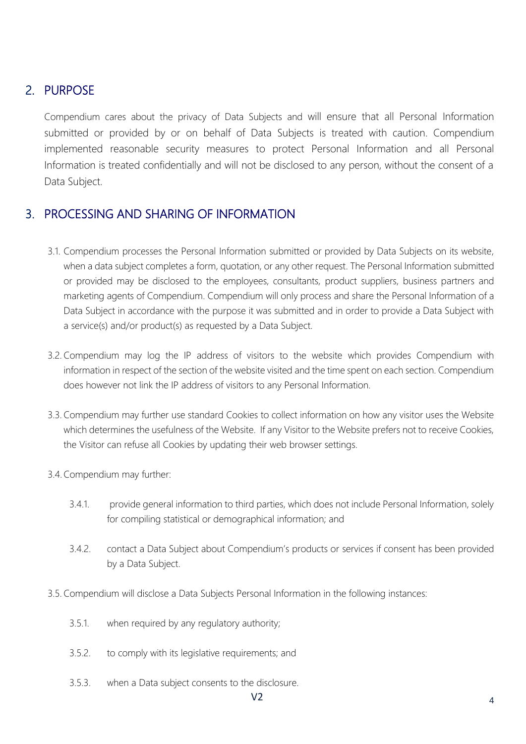#### <span id="page-3-0"></span>2. PURPOSE

Compendium cares about the privacy of Data Subjects and will ensure that all Personal Information submitted or provided by or on behalf of Data Subjects is treated with caution. Compendium implemented reasonable security measures to protect Personal Information and all Personal Information is treated confidentially and will not be disclosed to any person, without the consent of a Data Subject.

#### <span id="page-3-1"></span>3. PROCESSING AND SHARING OF INFORMATION

- 3.1. Compendium processes the Personal Information submitted or provided by Data Subjects on its website, when a data subject completes a form, quotation, or any other request. The Personal Information submitted or provided may be disclosed to the employees, consultants, product suppliers, business partners and marketing agents of Compendium. Compendium will only process and share the Personal Information of a Data Subject in accordance with the purpose it was submitted and in order to provide a Data Subject with a service(s) and/or product(s) as requested by a Data Subject.
- 3.2. Compendium may log the IP address of visitors to the website which provides Compendium with information in respect of the section of the website visited and the time spent on each section. Compendium does however not link the IP address of visitors to any Personal Information.
- 3.3. Compendium may further use standard Cookies to collect information on how any visitor uses the Website which determines the usefulness of the Website. If any Visitor to the Website prefers not to receive Cookies, the Visitor can refuse all Cookies by updating their web browser settings.
- 3.4.Compendium may further:
	- 3.4.1. provide general information to third parties, which does not include Personal Information, solely for compiling statistical or demographical information; and
	- 3.4.2. contact a Data Subject about Compendium's products or services if consent has been provided by a Data Subject.
- 3.5. Compendium will disclose a Data Subjects Personal Information in the following instances:
	- 3.5.1. when required by any regulatory authority;
	- 3.5.2. to comply with its legislative requirements; and
	- 3.5.3. when a Data subject consents to the disclosure.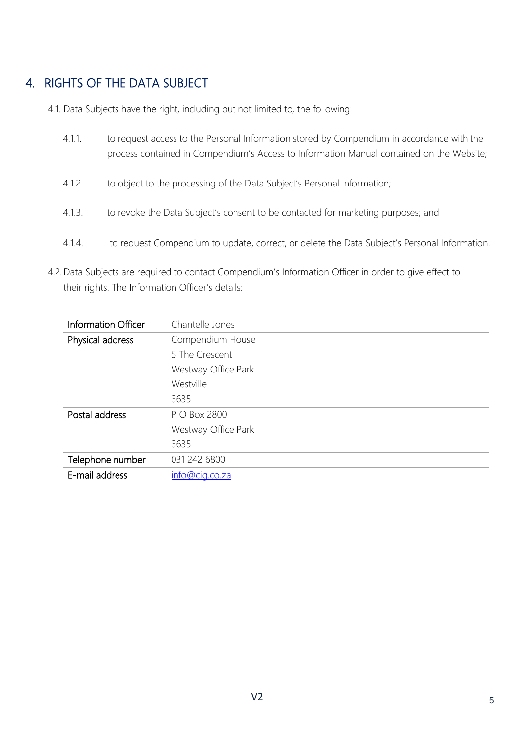#### <span id="page-4-0"></span>4. RIGHTS OF THE DATA SUBJECT

- 4.1. Data Subjects have the right, including but not limited to, the following:
	- 4.1.1. to request access to the Personal Information stored by Compendium in accordance with the process contained in Compendium's Access to Information Manual contained on the Website;
	- 4.1.2. to object to the processing of the Data Subject's Personal Information;
	- 4.1.3. to revoke the Data Subject's consent to be contacted for marketing purposes; and
	- 4.1.4. to request Compendium to update, correct, or delete the Data Subject's Personal Information.
- 4.2.Data Subjects are required to contact Compendium's Information Officer in order to give effect to their rights. The Information Officer's details:

| Information Officer | Chantelle Jones     |
|---------------------|---------------------|
| Physical address    | Compendium House    |
|                     | 5 The Crescent      |
|                     | Westway Office Park |
|                     | Westville           |
|                     | 3635                |
| Postal address      | P O Box 2800        |
|                     | Westway Office Park |
|                     | 3635                |
| Telephone number    | 031 242 6800        |
| E-mail address      | info@cig.co.za      |